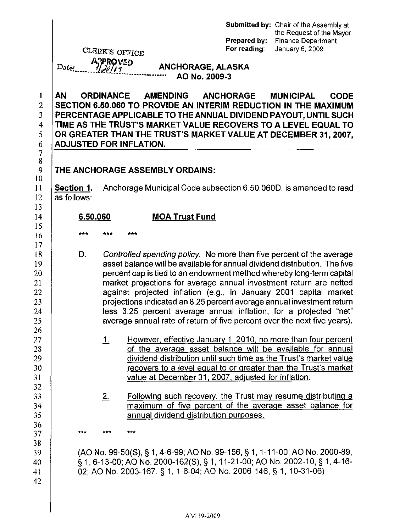|                                                                                             | Date:                                       | CLERK'S OFFICE<br><b>APPROVED</b><br>11.20189 | """""""""""""""""""" | <b>ANCHORAGE, ALASKA</b> | AO No. 2009-3 | Prepared by:<br>For reading:                        | Submitted by: Chair of the Assembly at<br>the Request of the Mayor<br><b>Finance Department</b><br>January 6, 2009                                                                                                                                                                                                                                                                                                                                                                                                                                                                               |
|---------------------------------------------------------------------------------------------|---------------------------------------------|-----------------------------------------------|----------------------|--------------------------|---------------|-----------------------------------------------------|--------------------------------------------------------------------------------------------------------------------------------------------------------------------------------------------------------------------------------------------------------------------------------------------------------------------------------------------------------------------------------------------------------------------------------------------------------------------------------------------------------------------------------------------------------------------------------------------------|
| $\mathbf{1}$<br>$\overline{2}$<br>3<br>4<br>5<br>6<br>$\begin{array}{c} 7 \\ 8 \end{array}$ | <b>AN</b><br><b>ADJUSTED FOR INFLATION.</b> | ORDINANCE                                     |                      | <b>AMENDING</b>          |               | <b>ANCHORAGE</b>                                    | <b>MUNICIPAL</b><br><b>CODE</b><br>SECTION 6.50.060 TO PROVIDE AN INTERIM REDUCTION IN THE MAXIMUM<br>PERCENTAGE APPLICABLE TO THE ANNUAL DIVIDEND PAYOUT, UNTIL SUCH<br>TIME AS THE TRUST'S MARKET VALUE RECOVERS TO A LEVEL EQUAL TO<br>OR GREATER THAN THE TRUST'S MARKET VALUE AT DECEMBER 31, 2007,                                                                                                                                                                                                                                                                                         |
| 9                                                                                           | THE ANCHORAGE ASSEMBLY ORDAINS:             |                                               |                      |                          |               |                                                     |                                                                                                                                                                                                                                                                                                                                                                                                                                                                                                                                                                                                  |
| 10<br>11<br>12<br>13                                                                        | Section 1.<br>as follows:                   |                                               |                      |                          |               |                                                     | Anchorage Municipal Code subsection 6.50,060D, is amended to read                                                                                                                                                                                                                                                                                                                                                                                                                                                                                                                                |
| 14                                                                                          | 6.50.060                                    |                                               |                      | <b>MOA Trust Fund</b>    |               |                                                     |                                                                                                                                                                                                                                                                                                                                                                                                                                                                                                                                                                                                  |
| 15<br>16                                                                                    | ***                                         | ***                                           | ***                  |                          |               |                                                     |                                                                                                                                                                                                                                                                                                                                                                                                                                                                                                                                                                                                  |
| 17<br>18<br>19<br>20<br>21<br>22<br>23<br>24<br>25                                          | D.                                          |                                               |                      |                          |               |                                                     | Controlled spending policy. No more than five percent of the average<br>asset balance will be available for annual dividend distribution. The five<br>percent cap is tied to an endowment method whereby long-term capital<br>market projections for average annual investment return are netted<br>against projected inflation (e.g., in January 2001 capital market<br>projections indicated an 8.25 percent average annual investment return<br>less 3.25 percent average annual inflation, for a projected "net"<br>average annual rate of return of five percent over the next five years). |
| 26<br>27<br>28<br>29<br>30<br>31                                                            |                                             | $\perp$                                       |                      |                          |               | value at December 31, 2007, adjusted for inflation. | However, effective January 1, 2010, no more than four percent<br>of the average asset balance will be available for annual<br>dividend distribution until such time as the Trust's market value<br>recovers to a level equal to or greater than the Trust's market                                                                                                                                                                                                                                                                                                                               |
| 32<br>33<br>34<br>35<br>36                                                                  |                                             | 2.                                            |                      |                          |               | annual dividend distribution purposes.              | Following such recovery, the Trust may resume distributing a<br>maximum of five percent of the average asset balance for                                                                                                                                                                                                                                                                                                                                                                                                                                                                         |
| 37                                                                                          | ***                                         | ***                                           | ***                  |                          |               |                                                     |                                                                                                                                                                                                                                                                                                                                                                                                                                                                                                                                                                                                  |
| 38<br>39<br>40<br>41<br>42                                                                  |                                             |                                               |                      |                          |               |                                                     | (AO No. 99-50(S), § 1, 4-6-99; AO No. 99-156, § 1, 1-11-00; AO No. 2000-89,<br>§ 1, 6-13-00; AO No. 2000-162(S), § 1, 11-21-00; AO No. 2002-10, § 1, 4-16-<br>02; AO No. 2003-167, § 1, 1-6-04; AO No. 2006-146, § 1, 10-31-06)                                                                                                                                                                                                                                                                                                                                                                  |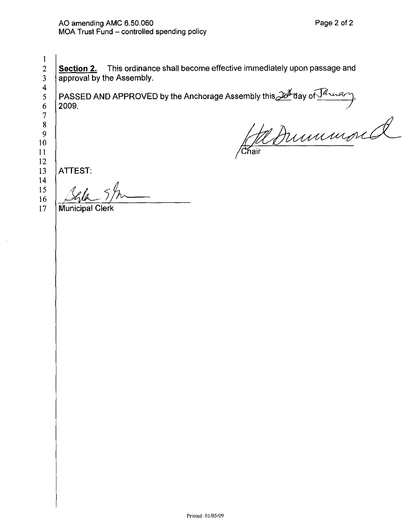Section 2. This ordinance shall become effective immediately upon passage and approval by the Assembly. PASSED AND APPROVED by the Anchorage Assembly this  $\frac{204}{100}$  day of  $\frac{\sqrt{d}$   $\sqrt{d}}{d}$  and  $\frac{1}{\sqrt{d}}$  and  $\frac{1}{\sqrt{d}}$  and  $\frac{1}{\sqrt{d}}$  and  $\frac{1}{\sqrt{d}}$  and  $\frac{1}{\sqrt{d}}$  and  $\frac{1}{\sqrt{d}}$  and  $\frac{1}{\sqrt{d}}$  and  $\frac{1$ **ATTEST:** 

14 15 16 17

 $\mathbf{1}$ 

 $\overline{2}$  $\overline{3}$ 

 $\overline{4}$ 

**Municipal Clerk**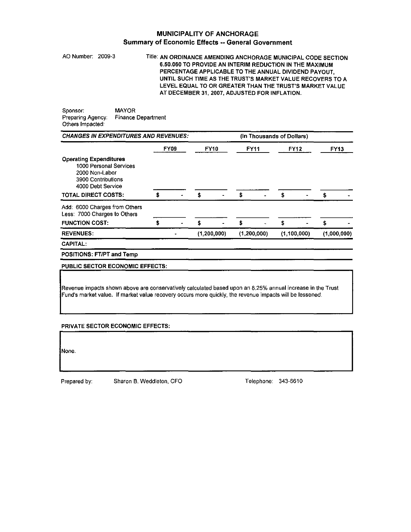## MUNICIPALITY OF ANCHORAGE Summary of Economic Effects --General Government

AO Number: 2009-3 Title: AN ORDINANCE AMENDING ANCHORAGE MUNICIPAL CODE SECTION 6.50.060 TO PROVIDE AN INTERIM REDUCTION IN THE MAXIMUM PERCENTAGE APPLICABLE TO THE ANNUAL DIVIDEND PAYOUT, UNTIL SUCH TIME AS THE TRUST'S MARKET VALUE RECOVERS TO A LEVEL EQUAL TO OR GREATER THAN THE TRUST'S MARKET VALUE AT DECEMBER 31, 2007, ADJUSTED FOR INFLATION.

Sponsor: MAYOR<br>Preparing Agency: Finance Department **Preparing Agency:** Others Impacted:

| <b>CHANGES IN EXPENDITURES AND REVENUES:</b>                                                                                                       |      |  |             | (In Thousands of Dollars) |               |   |               |  |             |             |
|----------------------------------------------------------------------------------------------------------------------------------------------------|------|--|-------------|---------------------------|---------------|---|---------------|--|-------------|-------------|
|                                                                                                                                                    | FY09 |  | <b>FY10</b> |                           | <b>FY11</b>   |   | <b>FY12</b>   |  | <b>FY13</b> |             |
| <b>Operating Expenditures</b><br>1000 Personal Services<br>2000 Non-Labor<br>3900 Contributions<br>4000 Debt Service<br><b>TOTAL DIRECT COSTS:</b> | ŝ    |  | \$          |                           | \$            |   | \$            |  | s           |             |
| Add: 6000 Charges from Others<br>Less: 7000 Charges to Others                                                                                      |      |  |             |                           |               |   |               |  |             |             |
| <b>FUNCTION COST:</b>                                                                                                                              |      |  | S           |                           | s             | ٠ | s             |  |             |             |
| <b>REVENUES:</b>                                                                                                                                   |      |  | (1,200,000) |                           | (1, 200, 000) |   | (1, 100, 000) |  |             | (1,000,000) |
| <b>CAPITAL:</b>                                                                                                                                    |      |  |             |                           |               |   |               |  |             |             |
| <b>POSITIONS: FT/PT and Temp</b>                                                                                                                   |      |  |             |                           |               |   |               |  |             |             |

PUBLIC SECTOR ECONOMIC EFFECTS:

**Revenue impacts shown above are conservatively calculated based upon an 8.25% annual increase in the Trust Fund's market value. If market value recovery occurs more quickly, the revenue impacts will be lessened.** 

## PRIVATE SECTOR ECONOMIC EFFECTS:

None

Prepared by: Sharon B. Weddleton, CFO Telephone: 343-6610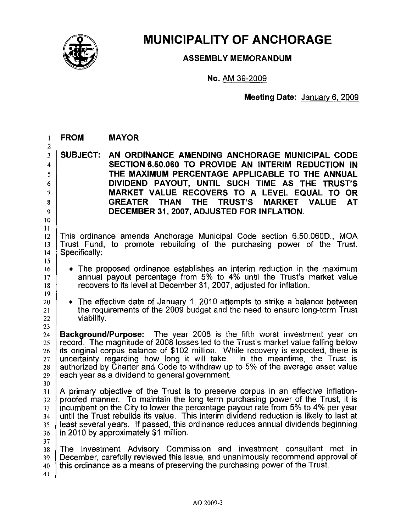

## **MUNICIPALITY OF ANCHORAGE**

**ASSEMBLY MEMORANDUM** 

**No.** AM 39-2009

**Meeting Date:** January 6. 2009

| 1                                                                                          | <b>FROM</b><br><b>MAYOR</b> |                                                                                                                                                                                                                                                                                                                                                                                                                                                                                   |  |  |  |  |  |
|--------------------------------------------------------------------------------------------|-----------------------------|-----------------------------------------------------------------------------------------------------------------------------------------------------------------------------------------------------------------------------------------------------------------------------------------------------------------------------------------------------------------------------------------------------------------------------------------------------------------------------------|--|--|--|--|--|
| $\overline{c}$<br>$\overline{\mathbf{3}}$<br>4<br>5<br>6<br>$\overline{7}$<br>8<br>9<br>10 | <b>SUBJECT:</b>             | AN ORDINANCE AMENDING ANCHORAGE MUNICIPAL CODE<br>SECTION 6.50.060 TO PROVIDE AN INTERIM REDUCTION IN<br>THE MAXIMUM PERCENTAGE APPLICABLE TO THE ANNUAL<br>DIVIDEND PAYOUT, UNTIL SUCH TIME AS THE TRUST'S<br>MARKET VALUE RECOVERS TO A LEVEL EQUAL TO OR<br><b>TRUST'S</b><br><b>GREATER</b><br><b>THAN</b><br>THE<br><b>MARKET VALUE</b><br><b>AT</b><br>DECEMBER 31, 2007, ADJUSTED FOR INFLATION.                                                                           |  |  |  |  |  |
| 11<br>12<br>13<br>14<br>15                                                                 | Specifically:               | This ordinance amends Anchorage Municipal Code section 6.50.060D., MOA<br>Trust Fund, to promote rebuilding of the purchasing power of the Trust.                                                                                                                                                                                                                                                                                                                                 |  |  |  |  |  |
| 16<br>17<br>18<br>19                                                                       |                             | • The proposed ordinance establishes an interim reduction in the maximum<br>annual payout percentage from 5% to 4% until the Trust's market value<br>recovers to its level at December 31, 2007, adjusted for inflation.                                                                                                                                                                                                                                                          |  |  |  |  |  |
| 20<br>21<br>22<br>23                                                                       | viability.                  | • The effective date of January 1, 2010 attempts to strike a balance between<br>the requirements of the 2009 budget and the need to ensure long-term Trust                                                                                                                                                                                                                                                                                                                        |  |  |  |  |  |
| 24<br>25<br>26<br>27<br>28<br>29<br>30                                                     |                             | <b>Background/Purpose:</b> The year 2008 is the fifth worst investment year on<br>record. The magnitude of 2008 losses led to the Trust's market value falling below<br>its original corpus balance of \$102 million. While recovery is expected, there is<br>uncertainty regarding how long it will take. In the meantime, the Trust is<br>authorized by Charter and Code to withdraw up to 5% of the average asset value<br>each year as a dividend to general government.      |  |  |  |  |  |
| 31<br>32<br>33<br>34<br>35<br>36                                                           |                             | A primary objective of the Trust is to preserve corpus in an effective inflation-<br>proofed manner. To maintain the long term purchasing power of the Trust, it is<br>incumbent on the City to lower the percentage payout rate from 5% to 4% per year<br>until the Trust rebuilds its value. This interim dividend reduction is likely to last at<br>least several years. If passed, this ordinance reduces annual dividends beginning<br>in 2010 by approximately \$1 million. |  |  |  |  |  |
| 37<br>38<br>39<br>40<br>41                                                                 |                             | The Investment Advisory Commission and investment consultant met in<br>December, carefully reviewed this issue, and unanimously recommend approval of<br>this ordinance as a means of preserving the purchasing power of the Trust.                                                                                                                                                                                                                                               |  |  |  |  |  |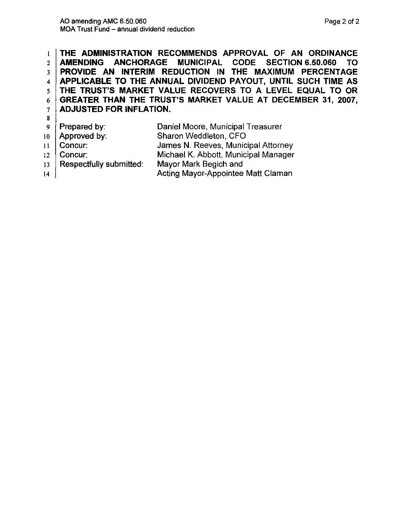1 THE ADMINISTRATION RECOMMENDS APPROVAL OF AN ORDINANCE 2 AMENDING ANCHORAGE MUNICIPAL CODE SECTION 6.50.060 TO 3 PROVIDE AN INTERIM REDUCTION IN THE MAXIMUM PERCENTAGE 4 APPLICABLE TO THE ANNUAL DIVIDEND PAYOUT, UNTIL SUCH TIME AS  $5$  THE TRUST'S MARKET VALUE RECOVERS TO A LEVEL EQUAL TO OR  $6$  GREATER THAN THE TRUST'S MARKET VALUE AT DECEMBER 31, 2007, 7 | ADJUSTED FOR INFLATION. 8 9 **Prepared by:** Daniel Moore, Municipal Treasurer

- $10$  Approved by: Sharon Weddleton, CFO
- 11 Concur: James N. Reeves, Municipal Attorney
- 12 Concur: Michael K. Abbott, Municipal Manager
- 13 Respectfully submitted: Mayor Mark Begich and Acting Mayor-Appointee Matt Claman
- 14